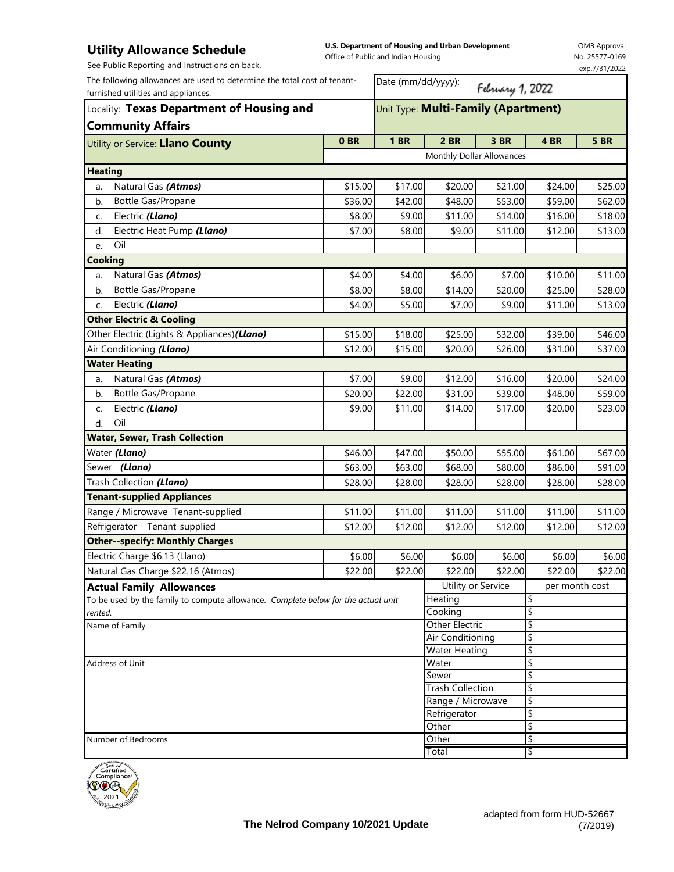## **Utility Allowance Schedule**

**U.S. Department of Housing and Urban Development**  Office of Public and Indian Housing

OMB Approval No. 25577-0169 exp.7/31/2022

| Date (mm/dd/yyyy):<br>February 1, 2022<br>Unit Type: Multi-Family (Apartment)<br><b>Community Affairs</b><br>0 <sub>BR</sub><br><b>1 BR</b><br>2 BR<br>3 BR<br>4 BR<br><b>5 BR</b><br>Utility or Service: Llano County<br>Monthly Dollar Allowances<br>Natural Gas (Atmos)<br>\$20.00<br>\$24.00<br>\$15.00<br>\$17.00<br>\$21.00<br>a.<br>Bottle Gas/Propane<br>\$36.00<br>\$42.00<br>\$48.00<br>\$53.00<br>\$59.00<br>b.<br>Electric (Llano)<br>\$14.00<br>\$16.00<br>\$8.00<br>\$9.00<br>\$11.00<br>C.<br>Electric Heat Pump (Llano)<br>\$11.00<br>\$12.00<br>\$7.00<br>\$8.00<br>\$9.00<br>d.<br>Oil<br>e.<br><b>Cooking</b><br>\$10.00<br>Natural Gas (Atmos)<br>\$4.00<br>\$4.00<br>\$6.00<br>\$7.00<br>a.<br>\$20.00<br>\$25.00<br>\$8.00<br>\$8.00<br>\$14.00<br>Bottle Gas/Propane<br>b.<br>Electric (Llano)<br>\$5.00<br>\$7.00<br>\$11.00<br>\$4.00<br>\$9.00<br>\$13.00<br>c.<br><b>Other Electric &amp; Cooling</b><br>Other Electric (Lights & Appliances) (Llano)<br>\$39.00<br>\$15.00<br>\$18.00<br>\$25.00<br>\$32.00<br>\$46.00<br>Air Conditioning (Llano)<br>\$12.00<br>\$15.00<br>\$20.00<br>\$26.00<br>\$31.00<br>\$37.00<br><b>Water Heating</b><br>Natural Gas (Atmos)<br>\$7.00<br>\$9.00<br>\$12.00<br>\$16.00<br>\$20.00<br>\$24.00<br>a.<br>\$31.00<br>\$48.00<br>Bottle Gas/Propane<br>\$20.00<br>\$22.00<br>\$39.00<br>\$59.00<br>b.<br>Electric (Llano)<br>\$11.00<br>\$14.00<br>\$17.00<br>\$20.00<br>\$23.00<br>\$9.00<br>C.<br>Oil<br>d.<br><b>Water, Sewer, Trash Collection</b><br>Water (Llano)<br>\$61.00<br>\$46.00<br>\$47.00<br>\$50.00<br>\$55.00<br>\$67.00<br>Sewer (Llano)<br>\$63.00<br>\$63.00<br>\$68.00<br>\$80.00<br>\$86.00<br>\$91.00<br>Trash Collection (Llano)<br>\$28.00<br>\$28.00<br>\$28.00<br>\$28.00<br>\$28.00<br>\$28.00<br><b>Tenant-supplied Appliances</b><br>Range / Microwave Tenant-supplied<br>\$11.00<br>\$11.00<br>\$11.00<br>\$11.00<br>\$11.00<br>\$11.00<br>Refrigerator Tenant-supplied<br>\$12.00<br>\$12.00<br>\$12.00<br>\$12.00<br>\$12.00<br>\$12.00<br><b>Other--specify: Monthly Charges</b><br>Electric Charge \$6.13 (Llano)<br>\$6.00<br>\$6.00<br>\$6.00<br>\$6.00<br>\$6.00<br>\$6.00<br>Natural Gas Charge \$22.16 (Atmos)<br>\$22.00<br>\$22.00<br>\$22.00<br>\$22.00<br>\$22.00<br>\$22.00<br>Utility or Service<br>per month cost<br><b>Actual Family Allowances</b><br>\$<br>To be used by the family to compute allowance. Complete below for the actual unit<br>Heating<br>\$<br>Cooking<br>rented.<br><b>Other Electric</b><br>\$<br>\$<br>Air Conditioning<br><b>Water Heating</b><br>\$<br>\$<br>Water<br>\$<br>Sewer<br>\$<br><b>Trash Collection</b><br>\$<br>Range / Microwave<br>\$<br>Refrigerator<br>\$<br>Other<br>\$<br>Other<br>\$<br>Total<br>يتنتننن | See Public Reporting and Instructions on back.                                                                  |  |  |  |  |  | exp.7/31/2022 |
|--------------------------------------------------------------------------------------------------------------------------------------------------------------------------------------------------------------------------------------------------------------------------------------------------------------------------------------------------------------------------------------------------------------------------------------------------------------------------------------------------------------------------------------------------------------------------------------------------------------------------------------------------------------------------------------------------------------------------------------------------------------------------------------------------------------------------------------------------------------------------------------------------------------------------------------------------------------------------------------------------------------------------------------------------------------------------------------------------------------------------------------------------------------------------------------------------------------------------------------------------------------------------------------------------------------------------------------------------------------------------------------------------------------------------------------------------------------------------------------------------------------------------------------------------------------------------------------------------------------------------------------------------------------------------------------------------------------------------------------------------------------------------------------------------------------------------------------------------------------------------------------------------------------------------------------------------------------------------------------------------------------------------------------------------------------------------------------------------------------------------------------------------------------------------------------------------------------------------------------------------------------------------------------------------------------------------------------------------------------------------------------------------------------------------------------------------------------------------------------------------------------------------------------------------------------------------------------------------------------------------------------------------------------------------------------------------------------------------------------------------------------------|-----------------------------------------------------------------------------------------------------------------|--|--|--|--|--|---------------|
|                                                                                                                                                                                                                                                                                                                                                                                                                                                                                                                                                                                                                                                                                                                                                                                                                                                                                                                                                                                                                                                                                                                                                                                                                                                                                                                                                                                                                                                                                                                                                                                                                                                                                                                                                                                                                                                                                                                                                                                                                                                                                                                                                                                                                                                                                                                                                                                                                                                                                                                                                                                                                                                                                                                                                                    | The following allowances are used to determine the total cost of tenant-<br>furnished utilities and appliances. |  |  |  |  |  |               |
|                                                                                                                                                                                                                                                                                                                                                                                                                                                                                                                                                                                                                                                                                                                                                                                                                                                                                                                                                                                                                                                                                                                                                                                                                                                                                                                                                                                                                                                                                                                                                                                                                                                                                                                                                                                                                                                                                                                                                                                                                                                                                                                                                                                                                                                                                                                                                                                                                                                                                                                                                                                                                                                                                                                                                                    | Locality: Texas Department of Housing and                                                                       |  |  |  |  |  |               |
|                                                                                                                                                                                                                                                                                                                                                                                                                                                                                                                                                                                                                                                                                                                                                                                                                                                                                                                                                                                                                                                                                                                                                                                                                                                                                                                                                                                                                                                                                                                                                                                                                                                                                                                                                                                                                                                                                                                                                                                                                                                                                                                                                                                                                                                                                                                                                                                                                                                                                                                                                                                                                                                                                                                                                                    |                                                                                                                 |  |  |  |  |  |               |
|                                                                                                                                                                                                                                                                                                                                                                                                                                                                                                                                                                                                                                                                                                                                                                                                                                                                                                                                                                                                                                                                                                                                                                                                                                                                                                                                                                                                                                                                                                                                                                                                                                                                                                                                                                                                                                                                                                                                                                                                                                                                                                                                                                                                                                                                                                                                                                                                                                                                                                                                                                                                                                                                                                                                                                    |                                                                                                                 |  |  |  |  |  |               |
|                                                                                                                                                                                                                                                                                                                                                                                                                                                                                                                                                                                                                                                                                                                                                                                                                                                                                                                                                                                                                                                                                                                                                                                                                                                                                                                                                                                                                                                                                                                                                                                                                                                                                                                                                                                                                                                                                                                                                                                                                                                                                                                                                                                                                                                                                                                                                                                                                                                                                                                                                                                                                                                                                                                                                                    | <b>Heating</b>                                                                                                  |  |  |  |  |  |               |
|                                                                                                                                                                                                                                                                                                                                                                                                                                                                                                                                                                                                                                                                                                                                                                                                                                                                                                                                                                                                                                                                                                                                                                                                                                                                                                                                                                                                                                                                                                                                                                                                                                                                                                                                                                                                                                                                                                                                                                                                                                                                                                                                                                                                                                                                                                                                                                                                                                                                                                                                                                                                                                                                                                                                                                    |                                                                                                                 |  |  |  |  |  | \$25.00       |
|                                                                                                                                                                                                                                                                                                                                                                                                                                                                                                                                                                                                                                                                                                                                                                                                                                                                                                                                                                                                                                                                                                                                                                                                                                                                                                                                                                                                                                                                                                                                                                                                                                                                                                                                                                                                                                                                                                                                                                                                                                                                                                                                                                                                                                                                                                                                                                                                                                                                                                                                                                                                                                                                                                                                                                    |                                                                                                                 |  |  |  |  |  | \$62.00       |
|                                                                                                                                                                                                                                                                                                                                                                                                                                                                                                                                                                                                                                                                                                                                                                                                                                                                                                                                                                                                                                                                                                                                                                                                                                                                                                                                                                                                                                                                                                                                                                                                                                                                                                                                                                                                                                                                                                                                                                                                                                                                                                                                                                                                                                                                                                                                                                                                                                                                                                                                                                                                                                                                                                                                                                    |                                                                                                                 |  |  |  |  |  | \$18.00       |
|                                                                                                                                                                                                                                                                                                                                                                                                                                                                                                                                                                                                                                                                                                                                                                                                                                                                                                                                                                                                                                                                                                                                                                                                                                                                                                                                                                                                                                                                                                                                                                                                                                                                                                                                                                                                                                                                                                                                                                                                                                                                                                                                                                                                                                                                                                                                                                                                                                                                                                                                                                                                                                                                                                                                                                    |                                                                                                                 |  |  |  |  |  | \$13.00       |
|                                                                                                                                                                                                                                                                                                                                                                                                                                                                                                                                                                                                                                                                                                                                                                                                                                                                                                                                                                                                                                                                                                                                                                                                                                                                                                                                                                                                                                                                                                                                                                                                                                                                                                                                                                                                                                                                                                                                                                                                                                                                                                                                                                                                                                                                                                                                                                                                                                                                                                                                                                                                                                                                                                                                                                    |                                                                                                                 |  |  |  |  |  |               |
|                                                                                                                                                                                                                                                                                                                                                                                                                                                                                                                                                                                                                                                                                                                                                                                                                                                                                                                                                                                                                                                                                                                                                                                                                                                                                                                                                                                                                                                                                                                                                                                                                                                                                                                                                                                                                                                                                                                                                                                                                                                                                                                                                                                                                                                                                                                                                                                                                                                                                                                                                                                                                                                                                                                                                                    |                                                                                                                 |  |  |  |  |  |               |
|                                                                                                                                                                                                                                                                                                                                                                                                                                                                                                                                                                                                                                                                                                                                                                                                                                                                                                                                                                                                                                                                                                                                                                                                                                                                                                                                                                                                                                                                                                                                                                                                                                                                                                                                                                                                                                                                                                                                                                                                                                                                                                                                                                                                                                                                                                                                                                                                                                                                                                                                                                                                                                                                                                                                                                    |                                                                                                                 |  |  |  |  |  | \$11.00       |
|                                                                                                                                                                                                                                                                                                                                                                                                                                                                                                                                                                                                                                                                                                                                                                                                                                                                                                                                                                                                                                                                                                                                                                                                                                                                                                                                                                                                                                                                                                                                                                                                                                                                                                                                                                                                                                                                                                                                                                                                                                                                                                                                                                                                                                                                                                                                                                                                                                                                                                                                                                                                                                                                                                                                                                    |                                                                                                                 |  |  |  |  |  | \$28.00       |
|                                                                                                                                                                                                                                                                                                                                                                                                                                                                                                                                                                                                                                                                                                                                                                                                                                                                                                                                                                                                                                                                                                                                                                                                                                                                                                                                                                                                                                                                                                                                                                                                                                                                                                                                                                                                                                                                                                                                                                                                                                                                                                                                                                                                                                                                                                                                                                                                                                                                                                                                                                                                                                                                                                                                                                    |                                                                                                                 |  |  |  |  |  |               |
|                                                                                                                                                                                                                                                                                                                                                                                                                                                                                                                                                                                                                                                                                                                                                                                                                                                                                                                                                                                                                                                                                                                                                                                                                                                                                                                                                                                                                                                                                                                                                                                                                                                                                                                                                                                                                                                                                                                                                                                                                                                                                                                                                                                                                                                                                                                                                                                                                                                                                                                                                                                                                                                                                                                                                                    |                                                                                                                 |  |  |  |  |  |               |
|                                                                                                                                                                                                                                                                                                                                                                                                                                                                                                                                                                                                                                                                                                                                                                                                                                                                                                                                                                                                                                                                                                                                                                                                                                                                                                                                                                                                                                                                                                                                                                                                                                                                                                                                                                                                                                                                                                                                                                                                                                                                                                                                                                                                                                                                                                                                                                                                                                                                                                                                                                                                                                                                                                                                                                    |                                                                                                                 |  |  |  |  |  |               |
|                                                                                                                                                                                                                                                                                                                                                                                                                                                                                                                                                                                                                                                                                                                                                                                                                                                                                                                                                                                                                                                                                                                                                                                                                                                                                                                                                                                                                                                                                                                                                                                                                                                                                                                                                                                                                                                                                                                                                                                                                                                                                                                                                                                                                                                                                                                                                                                                                                                                                                                                                                                                                                                                                                                                                                    |                                                                                                                 |  |  |  |  |  |               |
|                                                                                                                                                                                                                                                                                                                                                                                                                                                                                                                                                                                                                                                                                                                                                                                                                                                                                                                                                                                                                                                                                                                                                                                                                                                                                                                                                                                                                                                                                                                                                                                                                                                                                                                                                                                                                                                                                                                                                                                                                                                                                                                                                                                                                                                                                                                                                                                                                                                                                                                                                                                                                                                                                                                                                                    |                                                                                                                 |  |  |  |  |  |               |
|                                                                                                                                                                                                                                                                                                                                                                                                                                                                                                                                                                                                                                                                                                                                                                                                                                                                                                                                                                                                                                                                                                                                                                                                                                                                                                                                                                                                                                                                                                                                                                                                                                                                                                                                                                                                                                                                                                                                                                                                                                                                                                                                                                                                                                                                                                                                                                                                                                                                                                                                                                                                                                                                                                                                                                    |                                                                                                                 |  |  |  |  |  |               |
|                                                                                                                                                                                                                                                                                                                                                                                                                                                                                                                                                                                                                                                                                                                                                                                                                                                                                                                                                                                                                                                                                                                                                                                                                                                                                                                                                                                                                                                                                                                                                                                                                                                                                                                                                                                                                                                                                                                                                                                                                                                                                                                                                                                                                                                                                                                                                                                                                                                                                                                                                                                                                                                                                                                                                                    |                                                                                                                 |  |  |  |  |  |               |
|                                                                                                                                                                                                                                                                                                                                                                                                                                                                                                                                                                                                                                                                                                                                                                                                                                                                                                                                                                                                                                                                                                                                                                                                                                                                                                                                                                                                                                                                                                                                                                                                                                                                                                                                                                                                                                                                                                                                                                                                                                                                                                                                                                                                                                                                                                                                                                                                                                                                                                                                                                                                                                                                                                                                                                    |                                                                                                                 |  |  |  |  |  |               |
|                                                                                                                                                                                                                                                                                                                                                                                                                                                                                                                                                                                                                                                                                                                                                                                                                                                                                                                                                                                                                                                                                                                                                                                                                                                                                                                                                                                                                                                                                                                                                                                                                                                                                                                                                                                                                                                                                                                                                                                                                                                                                                                                                                                                                                                                                                                                                                                                                                                                                                                                                                                                                                                                                                                                                                    |                                                                                                                 |  |  |  |  |  |               |
|                                                                                                                                                                                                                                                                                                                                                                                                                                                                                                                                                                                                                                                                                                                                                                                                                                                                                                                                                                                                                                                                                                                                                                                                                                                                                                                                                                                                                                                                                                                                                                                                                                                                                                                                                                                                                                                                                                                                                                                                                                                                                                                                                                                                                                                                                                                                                                                                                                                                                                                                                                                                                                                                                                                                                                    |                                                                                                                 |  |  |  |  |  |               |
|                                                                                                                                                                                                                                                                                                                                                                                                                                                                                                                                                                                                                                                                                                                                                                                                                                                                                                                                                                                                                                                                                                                                                                                                                                                                                                                                                                                                                                                                                                                                                                                                                                                                                                                                                                                                                                                                                                                                                                                                                                                                                                                                                                                                                                                                                                                                                                                                                                                                                                                                                                                                                                                                                                                                                                    |                                                                                                                 |  |  |  |  |  |               |
|                                                                                                                                                                                                                                                                                                                                                                                                                                                                                                                                                                                                                                                                                                                                                                                                                                                                                                                                                                                                                                                                                                                                                                                                                                                                                                                                                                                                                                                                                                                                                                                                                                                                                                                                                                                                                                                                                                                                                                                                                                                                                                                                                                                                                                                                                                                                                                                                                                                                                                                                                                                                                                                                                                                                                                    |                                                                                                                 |  |  |  |  |  |               |
|                                                                                                                                                                                                                                                                                                                                                                                                                                                                                                                                                                                                                                                                                                                                                                                                                                                                                                                                                                                                                                                                                                                                                                                                                                                                                                                                                                                                                                                                                                                                                                                                                                                                                                                                                                                                                                                                                                                                                                                                                                                                                                                                                                                                                                                                                                                                                                                                                                                                                                                                                                                                                                                                                                                                                                    |                                                                                                                 |  |  |  |  |  |               |
|                                                                                                                                                                                                                                                                                                                                                                                                                                                                                                                                                                                                                                                                                                                                                                                                                                                                                                                                                                                                                                                                                                                                                                                                                                                                                                                                                                                                                                                                                                                                                                                                                                                                                                                                                                                                                                                                                                                                                                                                                                                                                                                                                                                                                                                                                                                                                                                                                                                                                                                                                                                                                                                                                                                                                                    |                                                                                                                 |  |  |  |  |  |               |
|                                                                                                                                                                                                                                                                                                                                                                                                                                                                                                                                                                                                                                                                                                                                                                                                                                                                                                                                                                                                                                                                                                                                                                                                                                                                                                                                                                                                                                                                                                                                                                                                                                                                                                                                                                                                                                                                                                                                                                                                                                                                                                                                                                                                                                                                                                                                                                                                                                                                                                                                                                                                                                                                                                                                                                    |                                                                                                                 |  |  |  |  |  |               |
|                                                                                                                                                                                                                                                                                                                                                                                                                                                                                                                                                                                                                                                                                                                                                                                                                                                                                                                                                                                                                                                                                                                                                                                                                                                                                                                                                                                                                                                                                                                                                                                                                                                                                                                                                                                                                                                                                                                                                                                                                                                                                                                                                                                                                                                                                                                                                                                                                                                                                                                                                                                                                                                                                                                                                                    |                                                                                                                 |  |  |  |  |  |               |
|                                                                                                                                                                                                                                                                                                                                                                                                                                                                                                                                                                                                                                                                                                                                                                                                                                                                                                                                                                                                                                                                                                                                                                                                                                                                                                                                                                                                                                                                                                                                                                                                                                                                                                                                                                                                                                                                                                                                                                                                                                                                                                                                                                                                                                                                                                                                                                                                                                                                                                                                                                                                                                                                                                                                                                    |                                                                                                                 |  |  |  |  |  |               |
|                                                                                                                                                                                                                                                                                                                                                                                                                                                                                                                                                                                                                                                                                                                                                                                                                                                                                                                                                                                                                                                                                                                                                                                                                                                                                                                                                                                                                                                                                                                                                                                                                                                                                                                                                                                                                                                                                                                                                                                                                                                                                                                                                                                                                                                                                                                                                                                                                                                                                                                                                                                                                                                                                                                                                                    |                                                                                                                 |  |  |  |  |  |               |
|                                                                                                                                                                                                                                                                                                                                                                                                                                                                                                                                                                                                                                                                                                                                                                                                                                                                                                                                                                                                                                                                                                                                                                                                                                                                                                                                                                                                                                                                                                                                                                                                                                                                                                                                                                                                                                                                                                                                                                                                                                                                                                                                                                                                                                                                                                                                                                                                                                                                                                                                                                                                                                                                                                                                                                    |                                                                                                                 |  |  |  |  |  |               |
|                                                                                                                                                                                                                                                                                                                                                                                                                                                                                                                                                                                                                                                                                                                                                                                                                                                                                                                                                                                                                                                                                                                                                                                                                                                                                                                                                                                                                                                                                                                                                                                                                                                                                                                                                                                                                                                                                                                                                                                                                                                                                                                                                                                                                                                                                                                                                                                                                                                                                                                                                                                                                                                                                                                                                                    |                                                                                                                 |  |  |  |  |  |               |
|                                                                                                                                                                                                                                                                                                                                                                                                                                                                                                                                                                                                                                                                                                                                                                                                                                                                                                                                                                                                                                                                                                                                                                                                                                                                                                                                                                                                                                                                                                                                                                                                                                                                                                                                                                                                                                                                                                                                                                                                                                                                                                                                                                                                                                                                                                                                                                                                                                                                                                                                                                                                                                                                                                                                                                    |                                                                                                                 |  |  |  |  |  |               |
|                                                                                                                                                                                                                                                                                                                                                                                                                                                                                                                                                                                                                                                                                                                                                                                                                                                                                                                                                                                                                                                                                                                                                                                                                                                                                                                                                                                                                                                                                                                                                                                                                                                                                                                                                                                                                                                                                                                                                                                                                                                                                                                                                                                                                                                                                                                                                                                                                                                                                                                                                                                                                                                                                                                                                                    |                                                                                                                 |  |  |  |  |  |               |
|                                                                                                                                                                                                                                                                                                                                                                                                                                                                                                                                                                                                                                                                                                                                                                                                                                                                                                                                                                                                                                                                                                                                                                                                                                                                                                                                                                                                                                                                                                                                                                                                                                                                                                                                                                                                                                                                                                                                                                                                                                                                                                                                                                                                                                                                                                                                                                                                                                                                                                                                                                                                                                                                                                                                                                    | Name of Family                                                                                                  |  |  |  |  |  |               |
|                                                                                                                                                                                                                                                                                                                                                                                                                                                                                                                                                                                                                                                                                                                                                                                                                                                                                                                                                                                                                                                                                                                                                                                                                                                                                                                                                                                                                                                                                                                                                                                                                                                                                                                                                                                                                                                                                                                                                                                                                                                                                                                                                                                                                                                                                                                                                                                                                                                                                                                                                                                                                                                                                                                                                                    | Address of Unit                                                                                                 |  |  |  |  |  |               |
|                                                                                                                                                                                                                                                                                                                                                                                                                                                                                                                                                                                                                                                                                                                                                                                                                                                                                                                                                                                                                                                                                                                                                                                                                                                                                                                                                                                                                                                                                                                                                                                                                                                                                                                                                                                                                                                                                                                                                                                                                                                                                                                                                                                                                                                                                                                                                                                                                                                                                                                                                                                                                                                                                                                                                                    |                                                                                                                 |  |  |  |  |  |               |
|                                                                                                                                                                                                                                                                                                                                                                                                                                                                                                                                                                                                                                                                                                                                                                                                                                                                                                                                                                                                                                                                                                                                                                                                                                                                                                                                                                                                                                                                                                                                                                                                                                                                                                                                                                                                                                                                                                                                                                                                                                                                                                                                                                                                                                                                                                                                                                                                                                                                                                                                                                                                                                                                                                                                                                    |                                                                                                                 |  |  |  |  |  |               |
|                                                                                                                                                                                                                                                                                                                                                                                                                                                                                                                                                                                                                                                                                                                                                                                                                                                                                                                                                                                                                                                                                                                                                                                                                                                                                                                                                                                                                                                                                                                                                                                                                                                                                                                                                                                                                                                                                                                                                                                                                                                                                                                                                                                                                                                                                                                                                                                                                                                                                                                                                                                                                                                                                                                                                                    |                                                                                                                 |  |  |  |  |  |               |
|                                                                                                                                                                                                                                                                                                                                                                                                                                                                                                                                                                                                                                                                                                                                                                                                                                                                                                                                                                                                                                                                                                                                                                                                                                                                                                                                                                                                                                                                                                                                                                                                                                                                                                                                                                                                                                                                                                                                                                                                                                                                                                                                                                                                                                                                                                                                                                                                                                                                                                                                                                                                                                                                                                                                                                    |                                                                                                                 |  |  |  |  |  |               |
|                                                                                                                                                                                                                                                                                                                                                                                                                                                                                                                                                                                                                                                                                                                                                                                                                                                                                                                                                                                                                                                                                                                                                                                                                                                                                                                                                                                                                                                                                                                                                                                                                                                                                                                                                                                                                                                                                                                                                                                                                                                                                                                                                                                                                                                                                                                                                                                                                                                                                                                                                                                                                                                                                                                                                                    |                                                                                                                 |  |  |  |  |  |               |
|                                                                                                                                                                                                                                                                                                                                                                                                                                                                                                                                                                                                                                                                                                                                                                                                                                                                                                                                                                                                                                                                                                                                                                                                                                                                                                                                                                                                                                                                                                                                                                                                                                                                                                                                                                                                                                                                                                                                                                                                                                                                                                                                                                                                                                                                                                                                                                                                                                                                                                                                                                                                                                                                                                                                                                    |                                                                                                                 |  |  |  |  |  |               |
|                                                                                                                                                                                                                                                                                                                                                                                                                                                                                                                                                                                                                                                                                                                                                                                                                                                                                                                                                                                                                                                                                                                                                                                                                                                                                                                                                                                                                                                                                                                                                                                                                                                                                                                                                                                                                                                                                                                                                                                                                                                                                                                                                                                                                                                                                                                                                                                                                                                                                                                                                                                                                                                                                                                                                                    | Number of Bedrooms                                                                                              |  |  |  |  |  |               |
|                                                                                                                                                                                                                                                                                                                                                                                                                                                                                                                                                                                                                                                                                                                                                                                                                                                                                                                                                                                                                                                                                                                                                                                                                                                                                                                                                                                                                                                                                                                                                                                                                                                                                                                                                                                                                                                                                                                                                                                                                                                                                                                                                                                                                                                                                                                                                                                                                                                                                                                                                                                                                                                                                                                                                                    |                                                                                                                 |  |  |  |  |  |               |